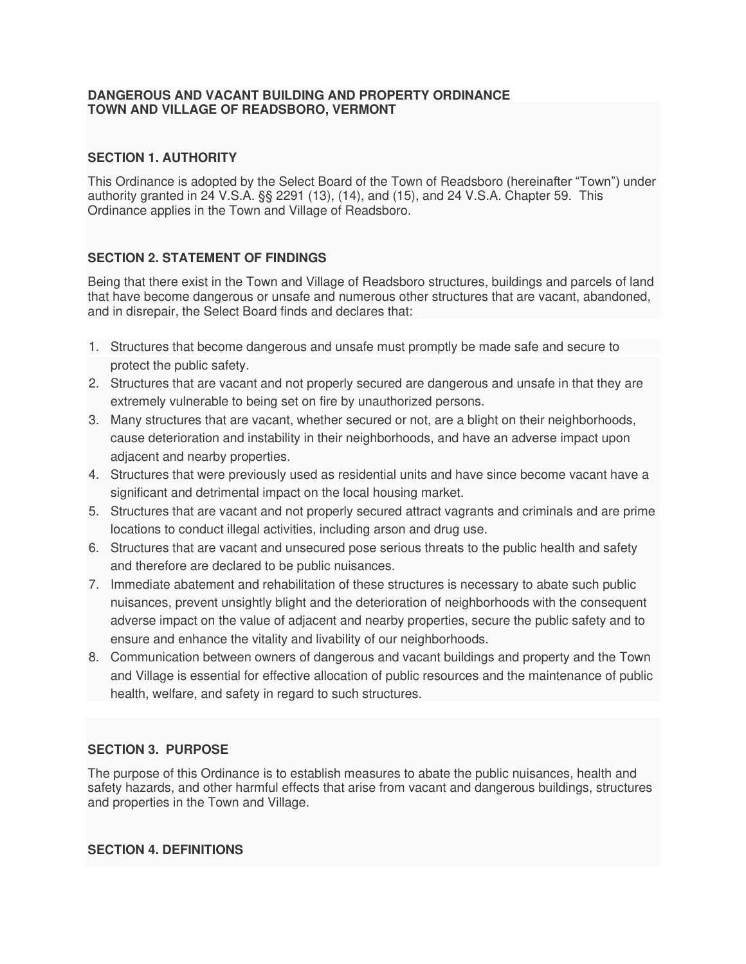#### **DANGEROUS AND VACANT BUILDING AND PROPERTY ORDINANCE TOWN AND VILLAGE OF READSBORO, VERMONT**

# **SECTION 1. AUTHORITY**

This Ordinance is adopted by the Select Board of the Town of Readsboro (hereinafter "Town") under authority granted in 24 V.S.A. §§ 2291 (13), (14), and (15), and 24 V.S.A. Chapter 59. This Ordinance applies in the Town and Village of Readsboro.

# **SECTION 2. STATEMENT OF FINDINGS**

Being that there exist in the Town and Village of Readsboro structures, buildings and parcels of land that have become dangerous or unsafe and numerous other structures that are vacant, abandoned, and in disrepair, the Select Board finds and declares that:

- 1. Structures that become dangerous and unsafe must promptly be made safe and secure to protect the public safety.
- 2. Structures that are vacant and not properly secured are dangerous and unsafe in that they are extremely vulnerable to being set on fire by unauthorized persons.
- 3. Many structures that are vacant, whether secured or not, are a blight on their neighborhoods, cause deterioration and instability in their neighborhoods, and have an adverse impact upon adjacent and nearby properties.
- 4. Structures that were previously used as residential units and have since become vacant have a significant and detrimental impact on the local housing market.
- 5. Structures that are vacant and not properly secured attract vagrants and criminals and are prime locations to conduct illegal activities, including arson and drug use.
- 6. Structures that are vacant and unsecured pose serious threats to the public health and safety and therefore are declared to be public nuisances.
- 7. Immediate abatement and rehabilitation of these structures is necessary to abate such public nuisances, prevent unsightly blight and the deterioration of neighborhoods with the consequent adverse impact on the value of adjacent and nearby properties, secure the public safety and to ensure and enhance the vitality and livability of our neighborhoods.
- 8. Communication between owners of dangerous and vacant buildings and property and the Town and Village is essential for effective allocation of public resources and the maintenance of public health, welfare, and safety in regard to such structures.

# **SECTION 3. PURPOSE**

The purpose of this Ordinance is to establish measures to abate the public nuisances, health and safety hazards, and other harmful effects that arise from vacant and dangerous buildings, structures and properties in the Town and Village.

#### **SECTION 4. DEFINITIONS**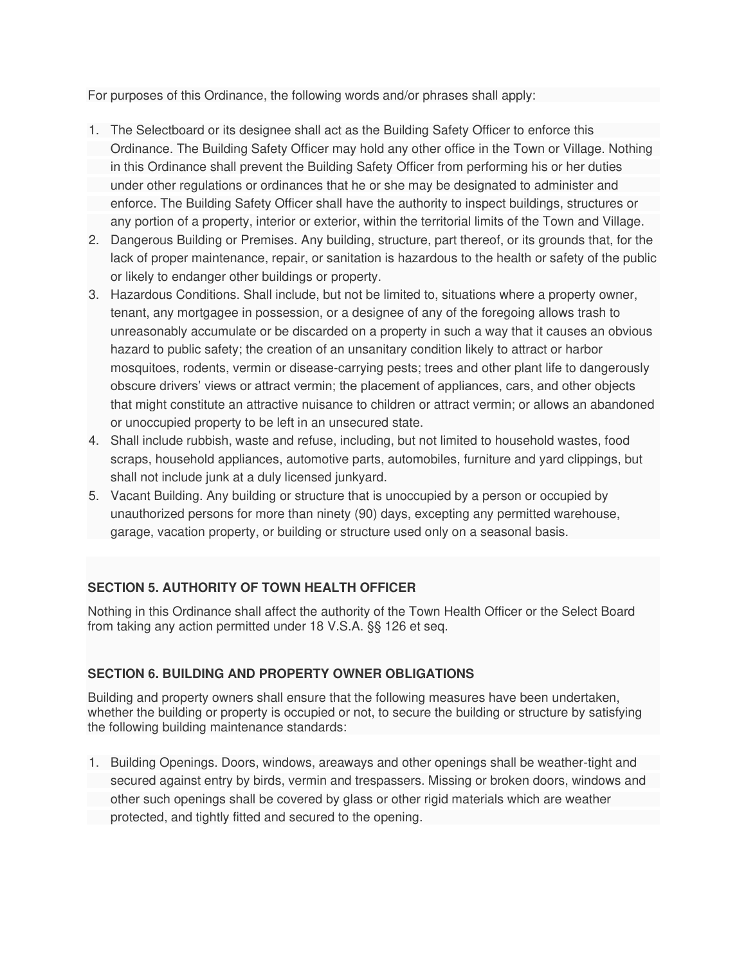For purposes of this Ordinance, the following words and/or phrases shall apply:

- 1. The Selectboard or its designee shall act as the Building Safety Officer to enforce this Ordinance. The Building Safety Officer may hold any other office in the Town or Village. Nothing in this Ordinance shall prevent the Building Safety Officer from performing his or her duties under other regulations or ordinances that he or she may be designated to administer and enforce. The Building Safety Officer shall have the authority to inspect buildings, structures or any portion of a property, interior or exterior, within the territorial limits of the Town and Village.
- 2. Dangerous Building or Premises. Any building, structure, part thereof, or its grounds that, for the lack of proper maintenance, repair, or sanitation is hazardous to the health or safety of the public or likely to endanger other buildings or property.
- 3. Hazardous Conditions. Shall include, but not be limited to, situations where a property owner, tenant, any mortgagee in possession, or a designee of any of the foregoing allows trash to unreasonably accumulate or be discarded on a property in such a way that it causes an obvious hazard to public safety; the creation of an unsanitary condition likely to attract or harbor mosquitoes, rodents, vermin or disease-carrying pests; trees and other plant life to dangerously obscure drivers' views or attract vermin; the placement of appliances, cars, and other objects that might constitute an attractive nuisance to children or attract vermin; or allows an abandoned or unoccupied property to be left in an unsecured state.
- 4. Shall include rubbish, waste and refuse, including, but not limited to household wastes, food scraps, household appliances, automotive parts, automobiles, furniture and yard clippings, but shall not include junk at a duly licensed junkyard.
- 5. Vacant Building. Any building or structure that is unoccupied by a person or occupied by unauthorized persons for more than ninety (90) days, excepting any permitted warehouse, garage, vacation property, or building or structure used only on a seasonal basis.

# **SECTION 5. AUTHORITY OF TOWN HEALTH OFFICER**

Nothing in this Ordinance shall affect the authority of the Town Health Officer or the Select Board from taking any action permitted under 18 V.S.A. §§ 126 et seq.

# **SECTION 6. BUILDING AND PROPERTY OWNER OBLIGATIONS**

Building and property owners shall ensure that the following measures have been undertaken, whether the building or property is occupied or not, to secure the building or structure by satisfying the following building maintenance standards:

1. Building Openings. Doors, windows, areaways and other openings shall be weather-tight and secured against entry by birds, vermin and trespassers. Missing or broken doors, windows and other such openings shall be covered by glass or other rigid materials which are weather protected, and tightly fitted and secured to the opening.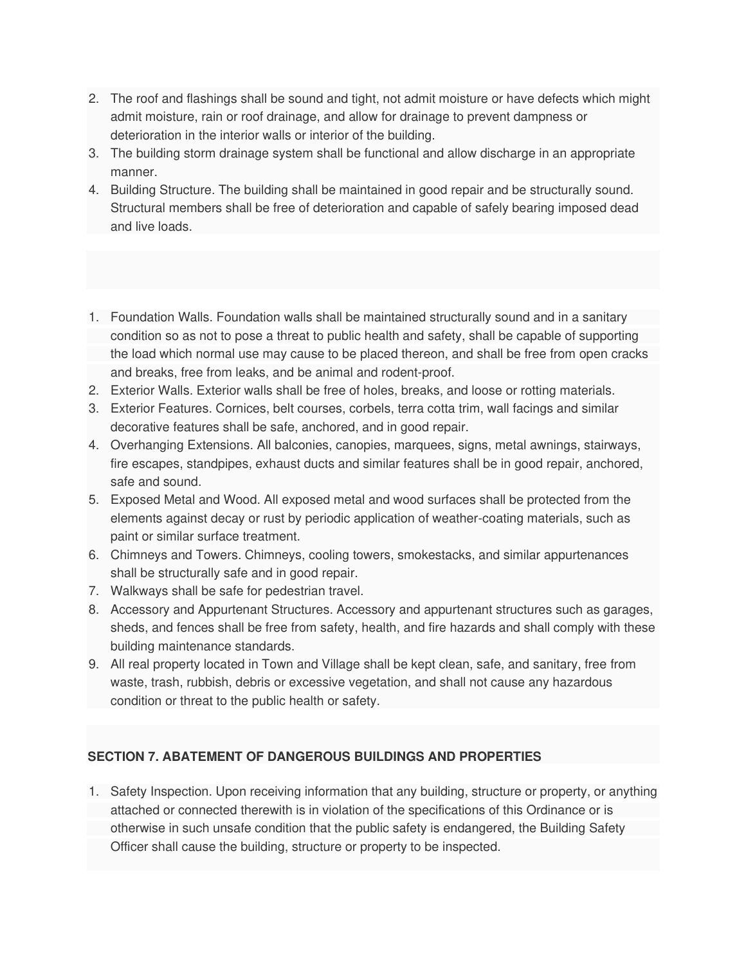- 2. The roof and flashings shall be sound and tight, not admit moisture or have defects which might admit moisture, rain or roof drainage, and allow for drainage to prevent dampness or deterioration in the interior walls or interior of the building.
- 3. The building storm drainage system shall be functional and allow discharge in an appropriate manner.
- 4. Building Structure. The building shall be maintained in good repair and be structurally sound. Structural members shall be free of deterioration and capable of safely bearing imposed dead and live loads.
- 1. Foundation Walls. Foundation walls shall be maintained structurally sound and in a sanitary condition so as not to pose a threat to public health and safety, shall be capable of supporting the load which normal use may cause to be placed thereon, and shall be free from open cracks and breaks, free from leaks, and be animal and rodent-proof.
- 2. Exterior Walls. Exterior walls shall be free of holes, breaks, and loose or rotting materials.
- 3. Exterior Features. Cornices, belt courses, corbels, terra cotta trim, wall facings and similar decorative features shall be safe, anchored, and in good repair.
- 4. Overhanging Extensions. All balconies, canopies, marquees, signs, metal awnings, stairways, fire escapes, standpipes, exhaust ducts and similar features shall be in good repair, anchored, safe and sound.
- 5. Exposed Metal and Wood. All exposed metal and wood surfaces shall be protected from the elements against decay or rust by periodic application of weather-coating materials, such as paint or similar surface treatment.
- 6. Chimneys and Towers. Chimneys, cooling towers, smokestacks, and similar appurtenances shall be structurally safe and in good repair.
- 7. Walkways shall be safe for pedestrian travel.
- 8. Accessory and Appurtenant Structures. Accessory and appurtenant structures such as garages, sheds, and fences shall be free from safety, health, and fire hazards and shall comply with these building maintenance standards.
- 9. All real property located in Town and Village shall be kept clean, safe, and sanitary, free from waste, trash, rubbish, debris or excessive vegetation, and shall not cause any hazardous condition or threat to the public health or safety.

# **SECTION 7. ABATEMENT OF DANGEROUS BUILDINGS AND PROPERTIES**

1. Safety Inspection. Upon receiving information that any building, structure or property, or anything attached or connected therewith is in violation of the specifications of this Ordinance or is otherwise in such unsafe condition that the public safety is endangered, the Building Safety Officer shall cause the building, structure or property to be inspected.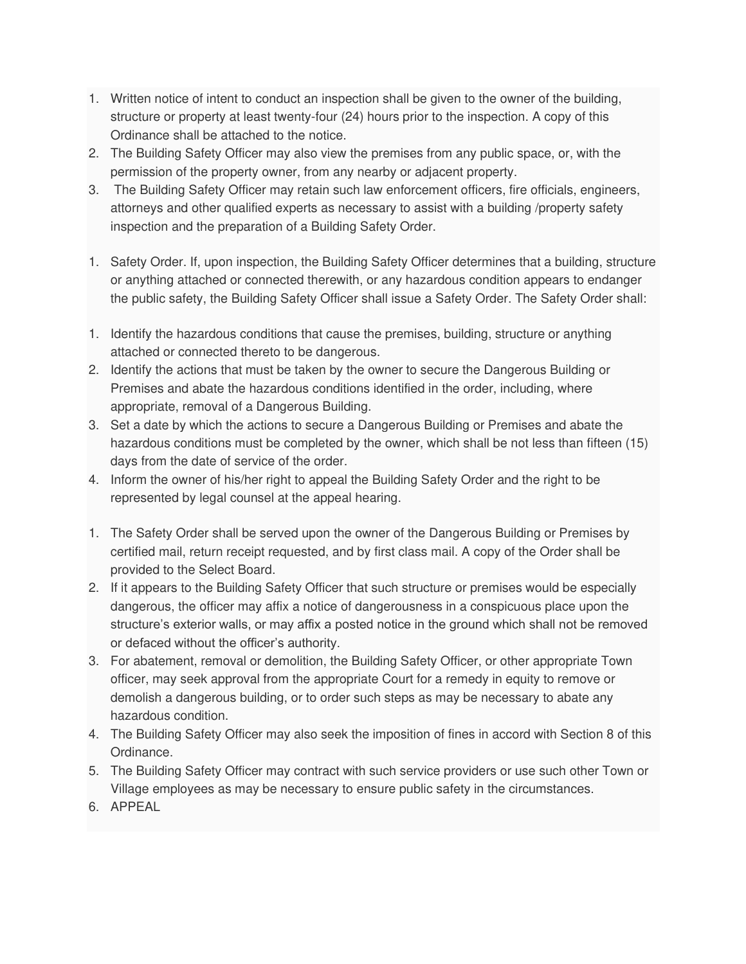- 1. Written notice of intent to conduct an inspection shall be given to the owner of the building, structure or property at least twenty-four (24) hours prior to the inspection. A copy of this Ordinance shall be attached to the notice.
- 2. The Building Safety Officer may also view the premises from any public space, or, with the permission of the property owner, from any nearby or adjacent property.
- 3. The Building Safety Officer may retain such law enforcement officers, fire officials, engineers, attorneys and other qualified experts as necessary to assist with a building /property safety inspection and the preparation of a Building Safety Order.
- 1. Safety Order. If, upon inspection, the Building Safety Officer determines that a building, structure or anything attached or connected therewith, or any hazardous condition appears to endanger the public safety, the Building Safety Officer shall issue a Safety Order. The Safety Order shall:
- 1. Identify the hazardous conditions that cause the premises, building, structure or anything attached or connected thereto to be dangerous.
- 2. Identify the actions that must be taken by the owner to secure the Dangerous Building or Premises and abate the hazardous conditions identified in the order, including, where appropriate, removal of a Dangerous Building.
- 3. Set a date by which the actions to secure a Dangerous Building or Premises and abate the hazardous conditions must be completed by the owner, which shall be not less than fifteen (15) days from the date of service of the order.
- 4. Inform the owner of his/her right to appeal the Building Safety Order and the right to be represented by legal counsel at the appeal hearing.
- 1. The Safety Order shall be served upon the owner of the Dangerous Building or Premises by certified mail, return receipt requested, and by first class mail. A copy of the Order shall be provided to the Select Board.
- 2. If it appears to the Building Safety Officer that such structure or premises would be especially dangerous, the officer may affix a notice of dangerousness in a conspicuous place upon the structure's exterior walls, or may affix a posted notice in the ground which shall not be removed or defaced without the officer's authority.
- 3. For abatement, removal or demolition, the Building Safety Officer, or other appropriate Town officer, may seek approval from the appropriate Court for a remedy in equity to remove or demolish a dangerous building, or to order such steps as may be necessary to abate any hazardous condition.
- 4. The Building Safety Officer may also seek the imposition of fines in accord with Section 8 of this Ordinance.
- 5. The Building Safety Officer may contract with such service providers or use such other Town or Village employees as may be necessary to ensure public safety in the circumstances.
- 6. APPEAL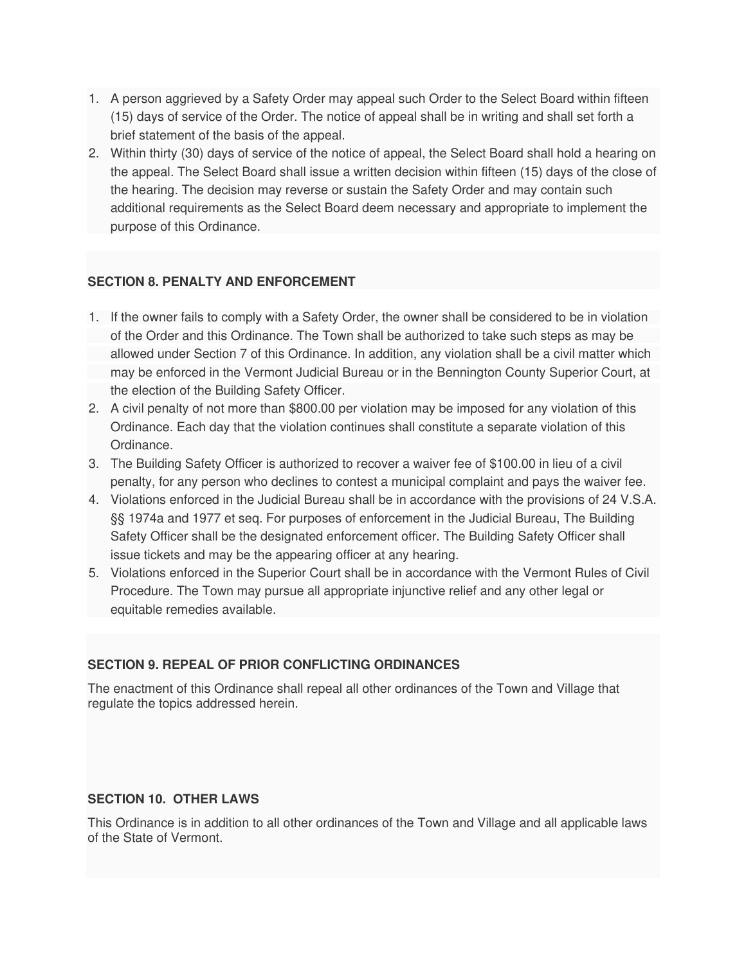- 1. A person aggrieved by a Safety Order may appeal such Order to the Select Board within fifteen (15) days of service of the Order. The notice of appeal shall be in writing and shall set forth a brief statement of the basis of the appeal.
- 2. Within thirty (30) days of service of the notice of appeal, the Select Board shall hold a hearing on the appeal. The Select Board shall issue a written decision within fifteen (15) days of the close of the hearing. The decision may reverse or sustain the Safety Order and may contain such additional requirements as the Select Board deem necessary and appropriate to implement the purpose of this Ordinance.

#### **SECTION 8. PENALTY AND ENFORCEMENT**

- 1. If the owner fails to comply with a Safety Order, the owner shall be considered to be in violation of the Order and this Ordinance. The Town shall be authorized to take such steps as may be allowed under Section 7 of this Ordinance. In addition, any violation shall be a civil matter which may be enforced in the Vermont Judicial Bureau or in the Bennington County Superior Court, at the election of the Building Safety Officer.
- 2. A civil penalty of not more than \$800.00 per violation may be imposed for any violation of this Ordinance. Each day that the violation continues shall constitute a separate violation of this Ordinance.
- 3. The Building Safety Officer is authorized to recover a waiver fee of \$100.00 in lieu of a civil penalty, for any person who declines to contest a municipal complaint and pays the waiver fee.
- 4. Violations enforced in the Judicial Bureau shall be in accordance with the provisions of 24 V.S.A. §§ 1974a and 1977 et seq. For purposes of enforcement in the Judicial Bureau, The Building Safety Officer shall be the designated enforcement officer. The Building Safety Officer shall issue tickets and may be the appearing officer at any hearing.
- 5. Violations enforced in the Superior Court shall be in accordance with the Vermont Rules of Civil Procedure. The Town may pursue all appropriate injunctive relief and any other legal or equitable remedies available.

# **SECTION 9. REPEAL OF PRIOR CONFLICTING ORDINANCES**

The enactment of this Ordinance shall repeal all other ordinances of the Town and Village that regulate the topics addressed herein.

# **SECTION 10. OTHER LAWS**

This Ordinance is in addition to all other ordinances of the Town and Village and all applicable laws of the State of Vermont.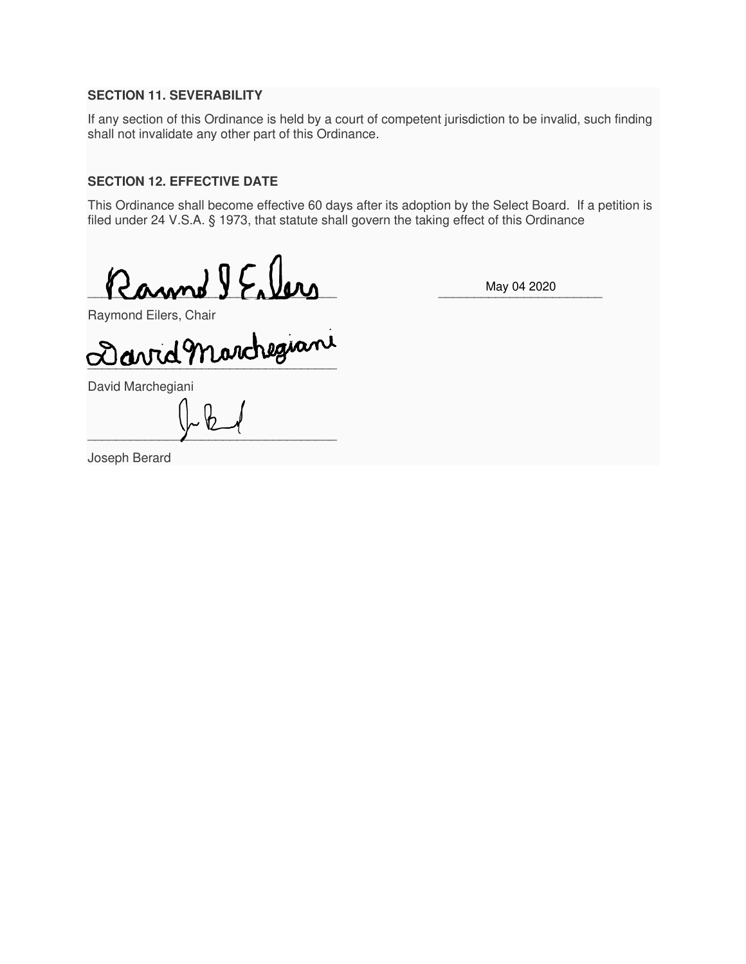#### **SECTION 11. SEVERABILITY**

If any section of this Ordinance is held by a court of competent jurisdiction to be invalid, such finding shall not invalidate any other part of this Ordinance.

#### **SECTION 12. EFFECTIVE DATE**

This Ordinance shall become effective 60 days after its adoption by the Select Board. If a petition is filed under 24 V.S.A. § 1973, that statute shall govern the taking effect of this Ordinance

 $\blacksquare$ 

May 04 2020

Raymond Eilers, Chair

 $\omega\omega\omega\pi\omega\omega$ 

David Marchegiani

 $\frac{1}{2}$  . The contract of  $\frac{1}{2}$  is the contract of  $\frac{1}{2}$ 

Joseph Berard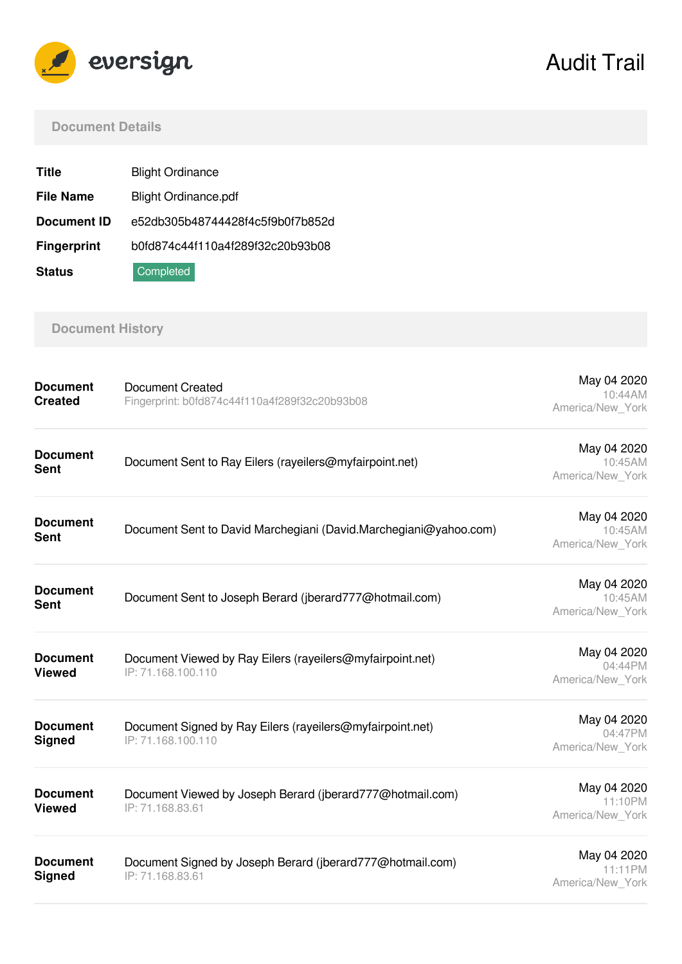

# Audit Trail

#### **Document Details**

| <b>Title</b>       | <b>Blight Ordinance</b>          |  |
|--------------------|----------------------------------|--|
| <b>File Name</b>   | <b>Blight Ordinance.pdf</b>      |  |
| <b>Document ID</b> | e52db305b48744428f4c5f9b0f7b852d |  |
| <b>Fingerprint</b> | b0fd874c44f110a4f289f32c20b93b08 |  |
| <b>Status</b>      | Completed                        |  |

# **Document History**

| <b>Document</b><br><b>Created</b> | <b>Document Created</b><br>Fingerprint: b0fd874c44f110a4f289f32c20b93b08        | May 04 2020<br>10:44AM<br>America/New_York |
|-----------------------------------|---------------------------------------------------------------------------------|--------------------------------------------|
| <b>Document</b><br><b>Sent</b>    | Document Sent to Ray Eilers (rayeilers@myfairpoint.net)                         | May 04 2020<br>10:45AM<br>America/New York |
| <b>Document</b><br><b>Sent</b>    | Document Sent to David Marchegiani (David.Marchegiani@yahoo.com)                | May 04 2020<br>10:45AM<br>America/New York |
| <b>Document</b><br><b>Sent</b>    | Document Sent to Joseph Berard (jberard777@hotmail.com)                         | May 04 2020<br>10:45AM<br>America/New York |
| <b>Document</b><br><b>Viewed</b>  | Document Viewed by Ray Eilers (rayeilers@myfairpoint.net)<br>IP: 71.168.100.110 | May 04 2020<br>04:44PM<br>America/New York |
| <b>Document</b><br><b>Signed</b>  | Document Signed by Ray Eilers (rayeilers@myfairpoint.net)<br>IP: 71.168.100.110 | May 04 2020<br>04:47PM<br>America/New York |
| <b>Document</b><br><b>Viewed</b>  | Document Viewed by Joseph Berard (jberard777@hotmail.com)<br>IP: 71.168.83.61   | May 04 2020<br>11:10PM<br>America/New York |
| <b>Document</b><br><b>Signed</b>  | Document Signed by Joseph Berard (jberard777@hotmail.com)<br>IP: 71.168.83.61   | May 04 2020<br>11:11PM<br>America/New York |